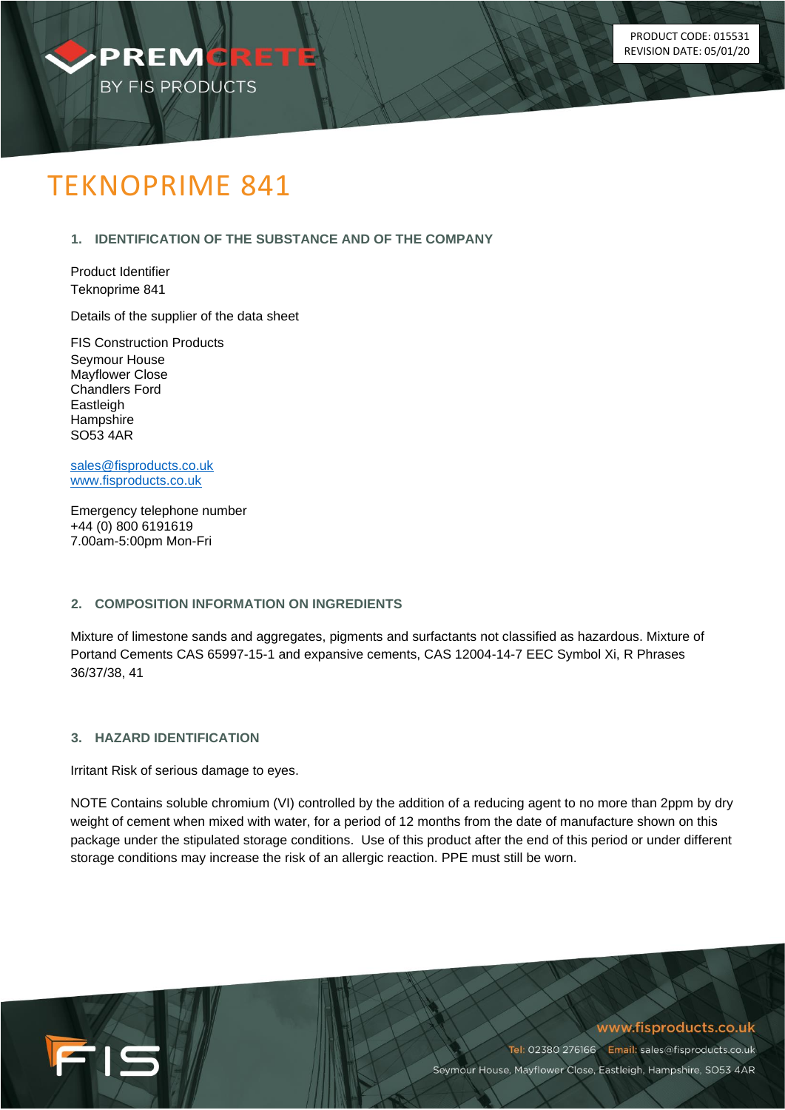

# TEKNOPRIME 841

# **1. IDENTIFICATION OF THE SUBSTANCE AND OF THE COMPANY**

Product Identifier Teknoprime 841

Details of the supplier of the data sheet

FIS Construction Products Seymour House Mayflower Close Chandlers Ford Eastleigh **Hampshire** SO53 4AR

[sales@fisproducts.co.uk](mailto:sales@fisproducts.co.uk) [www.fisproducts.co.uk](http://www.fisproducts.co.uk/)

Emergency telephone number +44 (0) 800 6191619 7.00am-5:00pm Mon-Fri

# **2. COMPOSITION INFORMATION ON INGREDIENTS**

Mixture of limestone sands and aggregates, pigments and surfactants not classified as hazardous. Mixture of Portand Cements CAS 65997-15-1 and expansive cements, CAS 12004-14-7 EEC Symbol Xi, R Phrases 36/37/38, 41

# **3. HAZARD IDENTIFICATION**

FIS

Irritant Risk of serious damage to eyes.

NOTE Contains soluble chromium (VI) controlled by the addition of a reducing agent to no more than 2ppm by dry weight of cement when mixed with water, for a period of 12 months from the date of manufacture shown on this package under the stipulated storage conditions. Use of this product after the end of this period or under different storage conditions may increase the risk of an allergic reaction. PPE must still be worn.

www.fisproducts.co.uk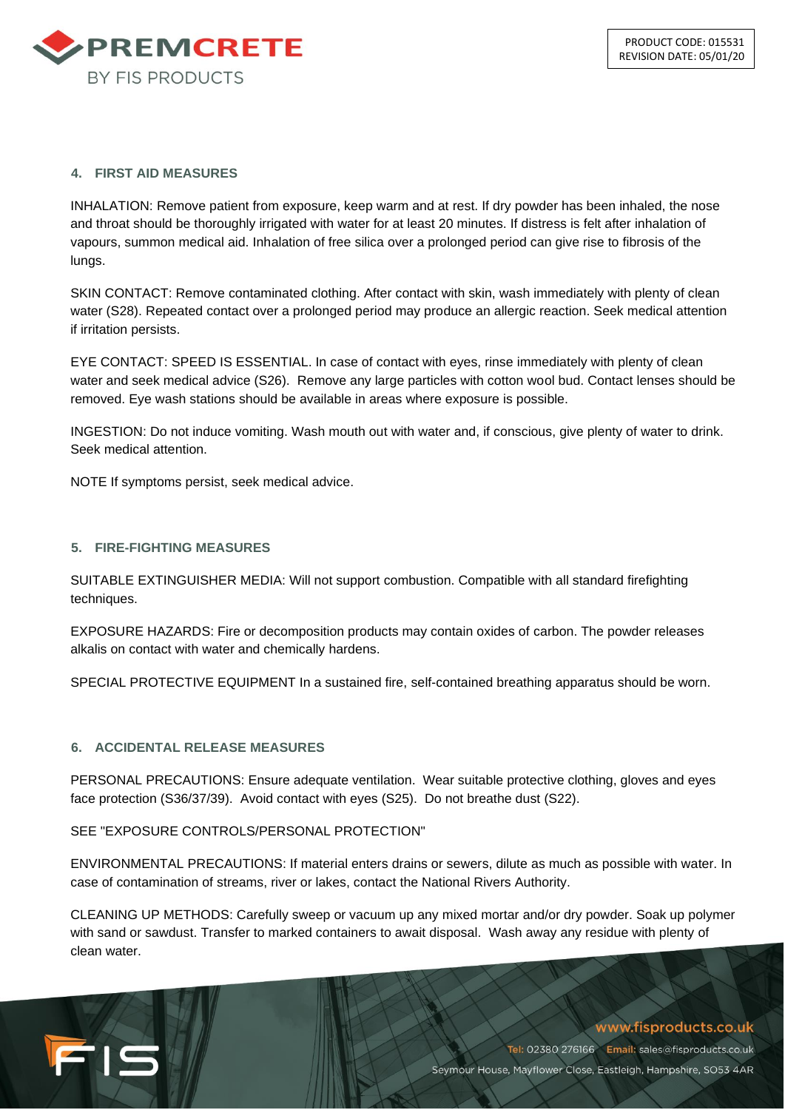

#### **4. FIRST AID MEASURES**

INHALATION: Remove patient from exposure, keep warm and at rest. If dry powder has been inhaled, the nose and throat should be thoroughly irrigated with water for at least 20 minutes. If distress is felt after inhalation of vapours, summon medical aid. Inhalation of free silica over a prolonged period can give rise to fibrosis of the lungs.

SKIN CONTACT: Remove contaminated clothing. After contact with skin, wash immediately with plenty of clean water (S28). Repeated contact over a prolonged period may produce an allergic reaction. Seek medical attention if irritation persists.

EYE CONTACT: SPEED IS ESSENTIAL. In case of contact with eyes, rinse immediately with plenty of clean water and seek medical advice (S26). Remove any large particles with cotton wool bud. Contact lenses should be removed. Eye wash stations should be available in areas where exposure is possible.

INGESTION: Do not induce vomiting. Wash mouth out with water and, if conscious, give plenty of water to drink. Seek medical attention.

NOTE If symptoms persist, seek medical advice.

#### **5. FIRE-FIGHTING MEASURES**

SUITABLE EXTINGUISHER MEDIA: Will not support combustion. Compatible with all standard firefighting techniques.

EXPOSURE HAZARDS: Fire or decomposition products may contain oxides of carbon. The powder releases alkalis on contact with water and chemically hardens.

SPECIAL PROTECTIVE EQUIPMENT In a sustained fire, self-contained breathing apparatus should be worn.

#### **6. ACCIDENTAL RELEASE MEASURES**

FIS

PERSONAL PRECAUTIONS: Ensure adequate ventilation. Wear suitable protective clothing, gloves and eyes face protection (S36/37/39). Avoid contact with eyes (S25). Do not breathe dust (S22).

#### SEE "EXPOSURE CONTROLS/PERSONAL PROTECTION"

ENVIRONMENTAL PRECAUTIONS: If material enters drains or sewers, dilute as much as possible with water. In case of contamination of streams, river or lakes, contact the National Rivers Authority.

CLEANING UP METHODS: Carefully sweep or vacuum up any mixed mortar and/or dry powder. Soak up polymer with sand or sawdust. Transfer to marked containers to await disposal. Wash away any residue with plenty of clean water.

# www.fisproducts.co.uk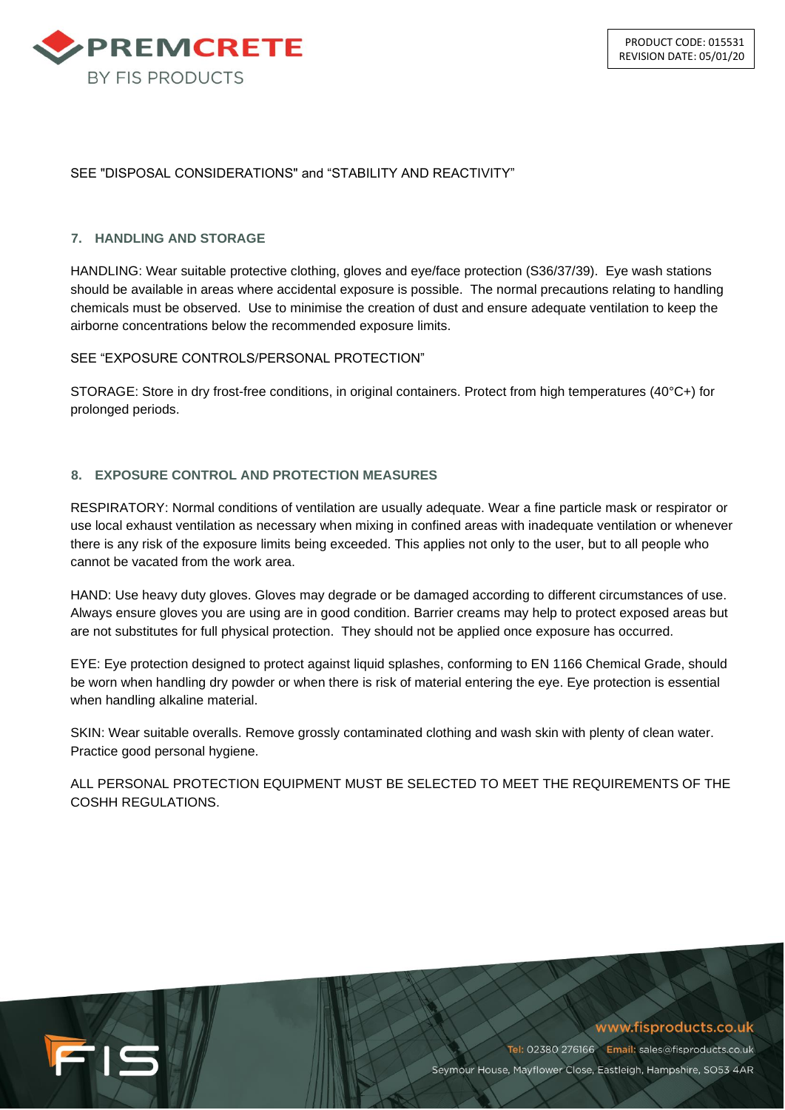

#### SEE "DISPOSAL CONSIDERATIONS" and "STABILITY AND REACTIVITY"

#### **7. HANDLING AND STORAGE**

HANDLING: Wear suitable protective clothing, gloves and eye/face protection (S36/37/39). Eye wash stations should be available in areas where accidental exposure is possible. The normal precautions relating to handling chemicals must be observed. Use to minimise the creation of dust and ensure adequate ventilation to keep the airborne concentrations below the recommended exposure limits.

#### SEE "EXPOSURE CONTROLS/PERSONAL PROTECTION"

STORAGE: Store in dry frost-free conditions, in original containers. Protect from high temperatures (40°C+) for prolonged periods.

#### **8. EXPOSURE CONTROL AND PROTECTION MEASURES**

RESPIRATORY: Normal conditions of ventilation are usually adequate. Wear a fine particle mask or respirator or use local exhaust ventilation as necessary when mixing in confined areas with inadequate ventilation or whenever there is any risk of the exposure limits being exceeded. This applies not only to the user, but to all people who cannot be vacated from the work area.

HAND: Use heavy duty gloves. Gloves may degrade or be damaged according to different circumstances of use. Always ensure gloves you are using are in good condition. Barrier creams may help to protect exposed areas but are not substitutes for full physical protection. They should not be applied once exposure has occurred.

EYE: Eye protection designed to protect against liquid splashes, conforming to EN 1166 Chemical Grade, should be worn when handling dry powder or when there is risk of material entering the eye. Eye protection is essential when handling alkaline material.

SKIN: Wear suitable overalls. Remove grossly contaminated clothing and wash skin with plenty of clean water. Practice good personal hygiene.

ALL PERSONAL PROTECTION EQUIPMENT MUST BE SELECTED TO MEET THE REQUIREMENTS OF THE COSHH REGULATIONS.



www.fisproducts.co.uk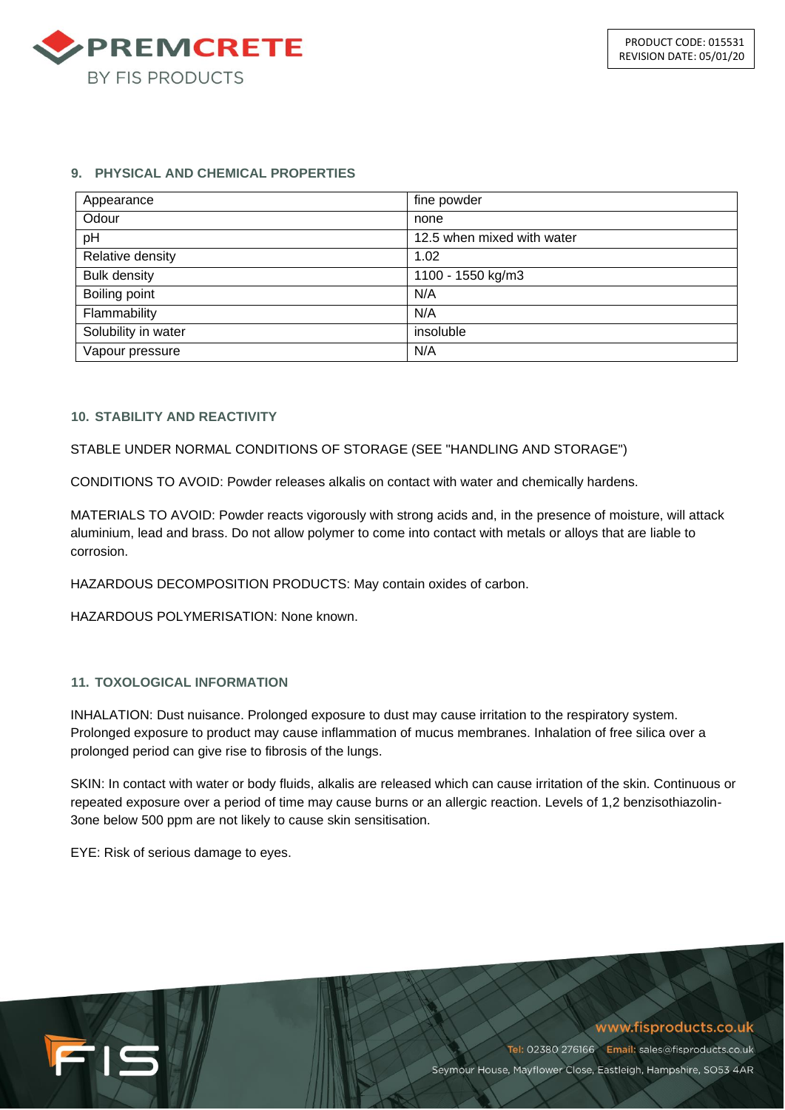

#### **9. PHYSICAL AND CHEMICAL PROPERTIES**

| Appearance          | fine powder                |
|---------------------|----------------------------|
| Odour               | none                       |
| pH                  | 12.5 when mixed with water |
| Relative density    | 1.02                       |
| <b>Bulk density</b> | 1100 - 1550 kg/m3          |
| Boiling point       | N/A                        |
| Flammability        | N/A                        |
| Solubility in water | insoluble                  |
| Vapour pressure     | N/A                        |

# **10. STABILITY AND REACTIVITY**

#### STABLE UNDER NORMAL CONDITIONS OF STORAGE (SEE "HANDLING AND STORAGE")

CONDITIONS TO AVOID: Powder releases alkalis on contact with water and chemically hardens.

MATERIALS TO AVOID: Powder reacts vigorously with strong acids and, in the presence of moisture, will attack aluminium, lead and brass. Do not allow polymer to come into contact with metals or alloys that are liable to corrosion.

HAZARDOUS DECOMPOSITION PRODUCTS: May contain oxides of carbon.

HAZARDOUS POLYMERISATION: None known.

#### **11. TOXOLOGICAL INFORMATION**

INHALATION: Dust nuisance. Prolonged exposure to dust may cause irritation to the respiratory system. Prolonged exposure to product may cause inflammation of mucus membranes. Inhalation of free silica over a prolonged period can give rise to fibrosis of the lungs.

SKIN: In contact with water or body fluids, alkalis are released which can cause irritation of the skin. Continuous or repeated exposure over a period of time may cause burns or an allergic reaction. Levels of 1,2 benzisothiazolin-3one below 500 ppm are not likely to cause skin sensitisation.

EYE: Risk of serious damage to eyes.

FIS

# www.fisproducts.co.uk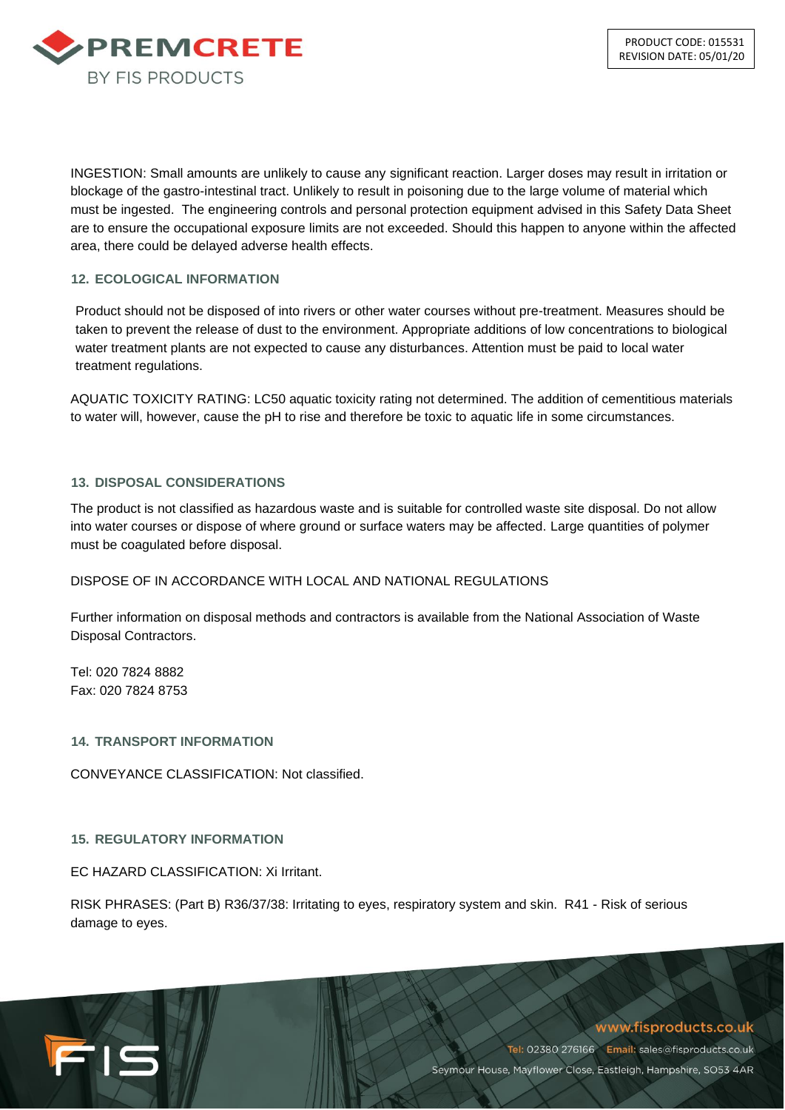

INGESTION: Small amounts are unlikely to cause any significant reaction. Larger doses may result in irritation or blockage of the gastro-intestinal tract. Unlikely to result in poisoning due to the large volume of material which must be ingested. The engineering controls and personal protection equipment advised in this Safety Data Sheet are to ensure the occupational exposure limits are not exceeded. Should this happen to anyone within the affected area, there could be delayed adverse health effects.

# **12. ECOLOGICAL INFORMATION**

Product should not be disposed of into rivers or other water courses without pre-treatment. Measures should be taken to prevent the release of dust to the environment. Appropriate additions of low concentrations to biological water treatment plants are not expected to cause any disturbances. Attention must be paid to local water treatment regulations.

AQUATIC TOXICITY RATING: LC50 aquatic toxicity rating not determined. The addition of cementitious materials to water will, however, cause the pH to rise and therefore be toxic to aquatic life in some circumstances.

#### **13. DISPOSAL CONSIDERATIONS**

The product is not classified as hazardous waste and is suitable for controlled waste site disposal. Do not allow into water courses or dispose of where ground or surface waters may be affected. Large quantities of polymer must be coagulated before disposal.

#### DISPOSE OF IN ACCORDANCE WITH LOCAL AND NATIONAL REGULATIONS

Further information on disposal methods and contractors is available from the National Association of Waste Disposal Contractors.

Tel: 020 7824 8882 Fax: 020 7824 8753

FIS

**14. TRANSPORT INFORMATION**

CONVEYANCE CLASSIFICATION: Not classified.

#### **15. REGULATORY INFORMATION**

EC HAZARD CLASSIFICATION: Xi Irritant.

RISK PHRASES: (Part B) R36/37/38: Irritating to eyes, respiratory system and skin. R41 - Risk of serious damage to eyes.

# www.fisproducts.co.uk